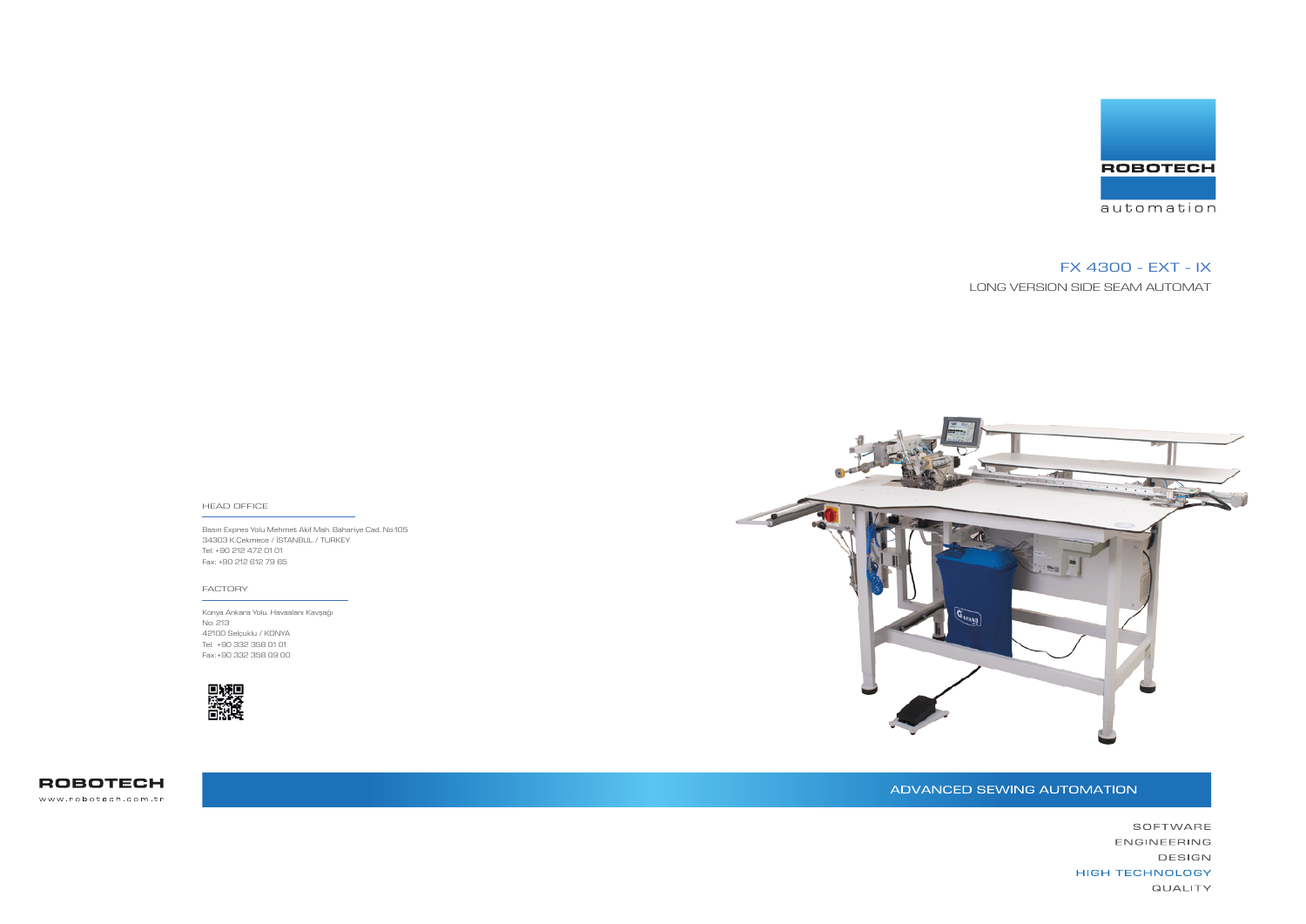Basın Expres Yolu Mehmet Akif Mah. Bahariye Cad. No:105 34303 K.Çekmece / İSTANBUL / TURKEY Tel: +90 212 472 01 01 Fax: +90 212 612 79 65



#### HEAD OFFICE

Konya Ankara Yolu. Havaalanı Kavşağı No: 213 42100 Selçuklu / KONYA Tel: +90 332 358 01 01 Fax: +90 332 358 09 00



**ROBOTECH** www.robotech.com.tr



#### FACTORY

# FX 4300 - EXT - IX

LONG VERSION SIDE SEAM AUTOMAT

# ADVANCED SEWING AUTOMATION

SOFTWARE ENGINEERING DESIGN **HIGH TECHNOLOGY QUALITY**